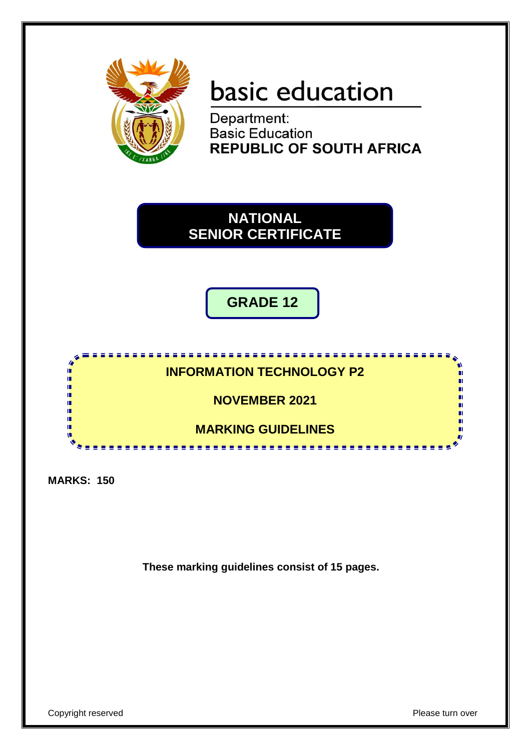

# basic education

Department: **Basic Education REPUBLIC OF SOUTH AFRICA** 

**NATIONAL SENIOR CERTIFICATE**

**GRADE 12**

**INFORMATION TECHNOLOGY P2**

**NOVEMBER 2021**

**MARKING GUIDELINES**

**MARKS: 150**

i. ı. ú, ú, r.

**These marking guidelines consist of 15 pages.**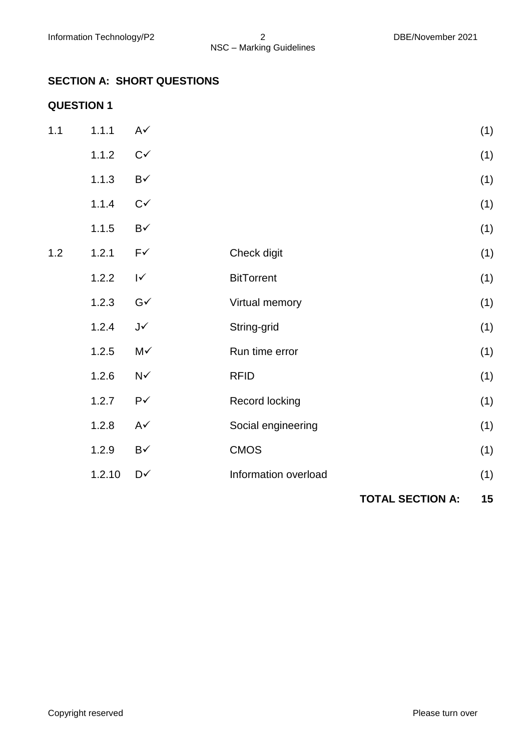#### **SECTION A: SHORT QUESTIONS**

#### **QUESTION 1**

|     |        |                        |                      | <b>TOTAL SECTION A:</b> | 15  |
|-----|--------|------------------------|----------------------|-------------------------|-----|
|     | 1.2.10 | D√                     | Information overload |                         | (1) |
|     | 1.2.9  | $\mathsf{B}\checkmark$ | <b>CMOS</b>          |                         | (1) |
|     | 1.2.8  | $A\checkmark$          | Social engineering   |                         | (1) |
|     | 1.2.7  | $P\checkmark$          | Record locking       |                         | (1) |
|     | 1.2.6  | $N\checkmark$          | <b>RFID</b>          |                         | (1) |
|     | 1.2.5  | M✓                     | Run time error       |                         | (1) |
|     | 1.2.4  | $J\checkmark$          | String-grid          |                         | (1) |
|     | 1.2.3  | $G\checkmark$          | Virtual memory       |                         | (1) |
|     | 1.2.2  | $\mathsf{I}\mathsf{v}$ | <b>BitTorrent</b>    |                         | (1) |
| 1.2 | 1.2.1  | $F\checkmark$          | Check digit          |                         | (1) |
|     | 1.1.5  | $\mathsf{B}\checkmark$ |                      |                         | (1) |
|     | 1.1.4  | $C\checkmark$          |                      |                         | (1) |
|     | 1.1.3  | $\mathsf{B}\checkmark$ |                      |                         | (1) |
|     | 1.1.2  | $C\checkmark$          |                      |                         | (1) |
| 1.1 | 1.1.1  | $A\checkmark$          |                      |                         | (1) |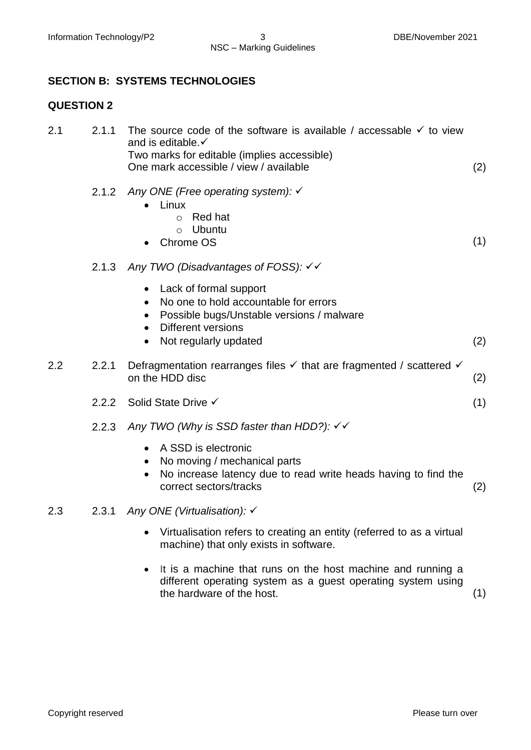#### **SECTION B: SYSTEMS TECHNOLOGIES**

#### **QUESTION 2**

| 2.1 | 2.1.1 | The source code of the software is available / accessable $\checkmark$ to view<br>and is editable.√<br>Two marks for editable (implies accessible)<br>One mark accessible / view / available              | (2) |
|-----|-------|-----------------------------------------------------------------------------------------------------------------------------------------------------------------------------------------------------------|-----|
|     | 2.1.2 | Any ONE (Free operating system): √<br>Linux<br><b>Red hat</b><br>$\circ$<br><b>Ubuntu</b><br>$\circ$<br>Chrome OS                                                                                         | (1) |
|     | 2.1.3 | Any TWO (Disadvantages of FOSS): √ √                                                                                                                                                                      |     |
|     |       | Lack of formal support<br>$\bullet$<br>No one to hold accountable for errors<br>Possible bugs/Unstable versions / malware<br><b>Different versions</b><br>$\bullet$<br>Not regularly updated<br>$\bullet$ | (2) |
| 2.2 | 2.2.1 | Defragmentation rearranges files $\checkmark$ that are fragmented / scattered $\checkmark$<br>on the HDD disc                                                                                             | (2) |
|     | 2.2.2 | Solid State Drive √                                                                                                                                                                                       | (1) |
|     | 2.2.3 | Any TWO (Why is SSD faster than HDD?): $\checkmark\checkmark$                                                                                                                                             |     |
|     |       | A SSD is electronic<br>No moving / mechanical parts<br>No increase latency due to read write heads having to find the<br>correct sectors/tracks                                                           | (2) |
| 2.3 | 2.3.1 | Any ONE (Virtualisation): ✓                                                                                                                                                                               |     |
|     |       | Virtualisation refers to creating an entity (referred to as a virtual<br>machine) that only exists in software.                                                                                           |     |
|     |       | It is a moopling that wine an the heat moopling and winning a                                                                                                                                             |     |

• It is a machine that runs on the host machine and running a different operating system as a guest operating system using the hardware of the host. (1)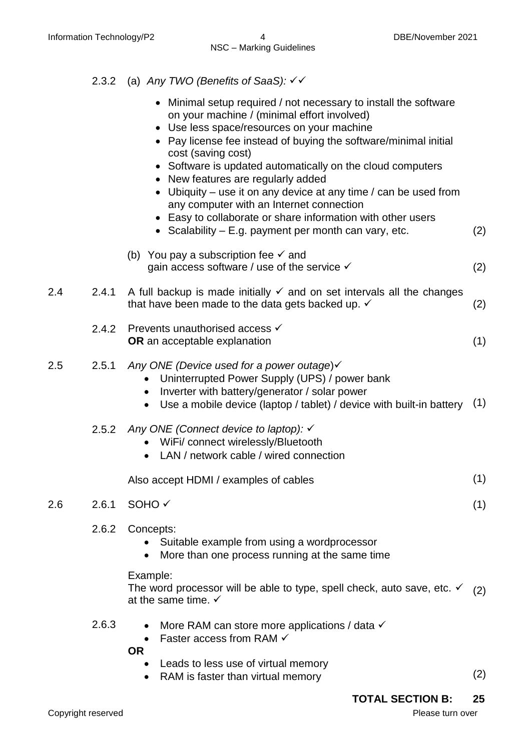#### 2.3.2 (a) *Any TWO (Benefits of SaaS):*

- Minimal setup required / not necessary to install the software on your machine / (minimal effort involved)
- Use less space/resources on your machine
- Pay license fee instead of buying the software/minimal initial cost (saving cost)
- Software is updated automatically on the cloud computers
- New features are regularly added
- Ubiquity use it on any device at any time / can be used from any computer with an Internet connection
- Easy to collaborate or share information with other users
- Scalability E.g. payment per month can vary, etc.  $(2)$
- (b) You pay a subscription fee  $\checkmark$  and gain access software / use of the service  $\checkmark$  (2)

#### 2.4 2.4.1 A full backup is made initially  $\checkmark$  and on set intervals all the changes that have been made to the data gets backed up.  $\checkmark$  (2)

| 2.4.2 Prevents unauthorised access $\checkmark$ |  |
|-------------------------------------------------|--|
| <b>OR</b> an acceptable explanation             |  |

#### 2.5 2.5.1 *Any ONE (Device used for a power outage*)

- Uninterrupted Power Supply (UPS) / power bank
- Inverter with battery/generator / solar power
- Use a mobile device (laptop / tablet) / device with built-in battery  $(1)$

#### 2.5.2 *Any ONE (Connect device to laptop):*

- WiFi/ connect wirelessly/Bluetooth
- LAN / network cable / wired connection

| Also accept HDMI / examples of cables | (1) |
|---------------------------------------|-----|
|---------------------------------------|-----|

#### $2.6$  2.6.1 SOHO  $\checkmark$  (1)

- 2.6.2 Concepts:
	- Suitable example from using a wordprocessor
	- More than one process running at the same time

#### Example:

The word processor will be able to type, spell check, auto save, etc.  $\checkmark$ at the same time.  $\checkmark$ (2)

- 2.6.3 More RAM can store more applications / data  $\checkmark$ 
	- Faster access from RAM  $\checkmark$

**OR**

- Leads to less use of virtual memory
- RAM is faster than virtual memory (2)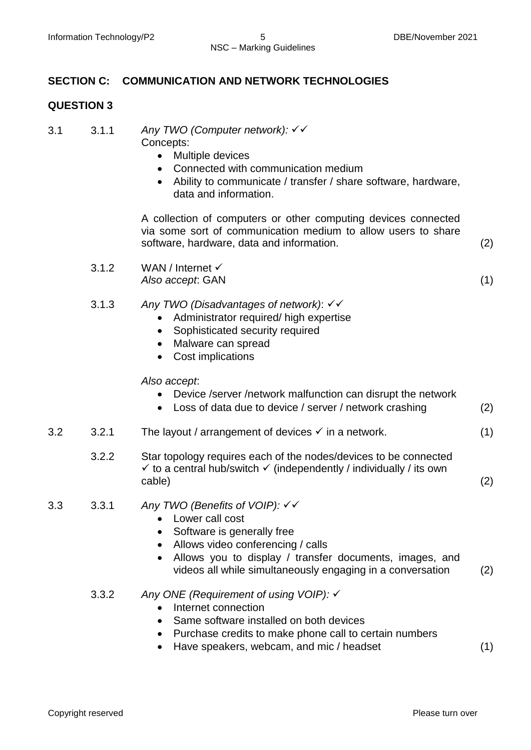#### **SECTION C: COMMUNICATION AND NETWORK TECHNOLOGIES**

#### **QUESTION 3**

| 3.1 | 3.1.1 | Any TWO (Computer network): $\checkmark$ |
|-----|-------|------------------------------------------|
|     |       | Concepts:                                |

- Multiple devices
- Connected with communication medium
- Ability to communicate / transfer / share software, hardware, data and information.

A collection of computers or other computing devices connected via some sort of communication medium to allow users to share software, hardware, data and information. (2)

3.1.2 WAN / Internet *Also accept*: GAN (1)

- 3.1.3 *Any TWO (Disadvantages of network)*:
	- Administrator required/ high expertise
	- Sophisticated security required
	- Malware can spread
	- Cost implications

*Also accept*:

- Device /server /network malfunction can disrupt the network
- Loss of data due to device / server / network crashing (2)
- 3.2 3.2.1 The layout / arrangement of devices  $\checkmark$  in a network. (1)
	- 3.2.2 Star topology requires each of the nodes/devices to be connected  $\checkmark$  to a central hub/switch  $\checkmark$  (independently / individually / its own cable) (2)
- 3.3 3.3.1 *Any TWO (Benefits of VOIP):* 
	- Lower call cost
	- Software is generally free
	- Allows video conferencing / calls
	- Allows you to display / transfer documents, images, and videos all while simultaneously engaging in a conversation (2)
	- 3.3.2 *Any ONE (Requirement of using VOIP):*
		- Internet connection
		- Same software installed on both devices
		- Purchase credits to make phone call to certain numbers
		- Have speakers, webcam, and mic / headset (1)

Copyright reserved **Please turn over the Copyright reserved** Please turn over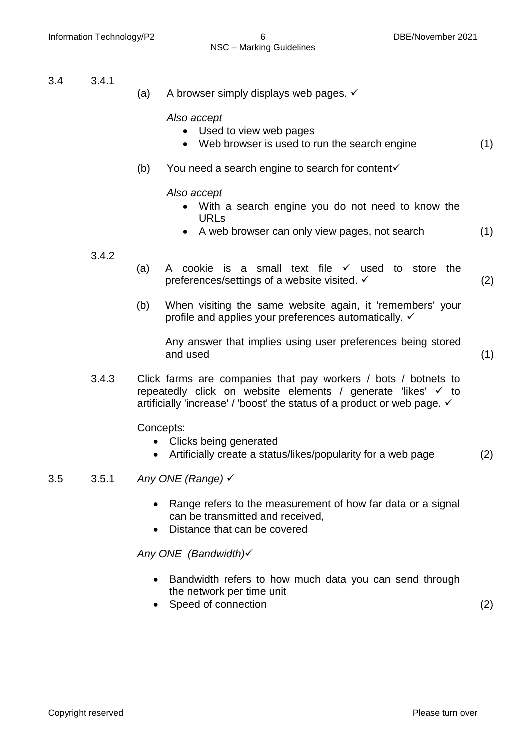- 3.4 3.4.1
- (a) A browser simply displays web pages.  $\checkmark$

*Also accept*

- Used to view web pages
- Web browser is used to run the search engine (1)
- (b) You need a search engine to search for content  $\checkmark$

#### *Also accept*

- With a search engine you do not need to know the URLs
- A web browser can only view pages, not search (1)

#### 3.4.2

- (a) A cookie is a small text file  $\checkmark$  used to store the preferences/settings of a website visited.  $\checkmark$  (2)
- (b) When visiting the same website again, it 'remembers' your profile and applies your preferences automatically.  $\checkmark$

Any answer that implies using user preferences being stored and used (1)

- 
- 3.4.3 Click farms are companies that pay workers / bots / botnets to repeatedly click on website elements / generate 'likes'  $\times$  to artificially 'increase' / 'boost' the status of a product or web page.  $\checkmark$

Concepts:

- Clicks being generated
- Artificially create a status/likes/popularity for a web page (2)

#### 3.5 3.5.1 *Any ONE (Range)*

- Range refers to the measurement of how far data or a signal can be transmitted and received,
- Distance that can be covered

*Any ONE (Bandwidth)*

- Bandwidth refers to how much data you can send through the network per time unit
- Speed of connection (2)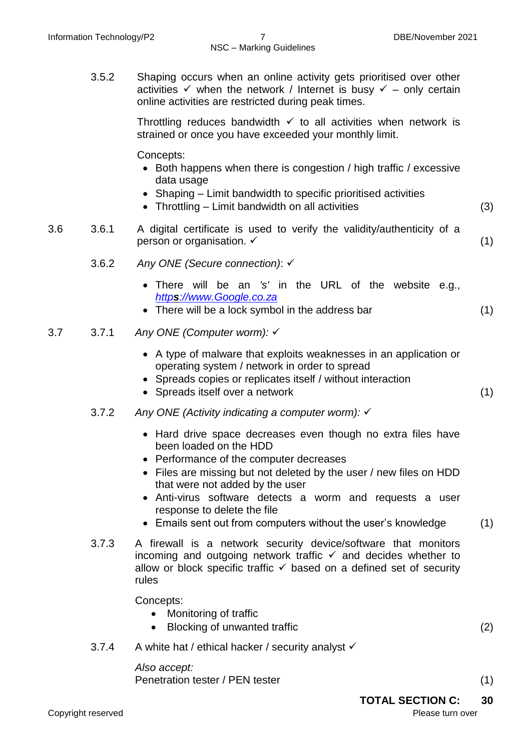3.5.2 Shaping occurs when an online activity gets prioritised over other activities  $\checkmark$  when the network / Internet is busy  $\checkmark$  – only certain online activities are restricted during peak times.

> Throttling reduces bandwidth  $\checkmark$  to all activities when network is strained or once you have exceeded your monthly limit.

Concepts:

- Both happens when there is congestion / high traffic / excessive data usage
- Shaping Limit bandwidth to specific prioritised activities
- Throttling Limit bandwidth on all activities (3)
- 3.6 3.6.1 A digital certificate is used to verify the validity/authenticity of a person or organisation.  $\checkmark$  (1)
	- 3.6.2 *Any ONE (Secure connection)*:
		- There will be an *'s'* in the URL of the website e.g., *https[://www.Google.co.za](https://www.google.co.za/)*
		- There will be a lock symbol in the address bar (1)
- 3.7 3.7.1 *Any ONE (Computer worm):* 
	- A type of malware that exploits weaknesses in an application or operating system / network in order to spread
	- Spreads copies or replicates itself / without interaction
	- Spreads itself over a network (1)
	- 3.7.2 *Any ONE (Activity indicating a computer worm):* 
		- Hard drive space decreases even though no extra files have been loaded on the HDD
		- Performance of the computer decreases
		- Files are missing but not deleted by the user / new files on HDD that were not added by the user
		- Anti-virus software detects a worm and requests a user response to delete the file
		- Emails sent out from computers without the user's knowledge (1)
	- 3.7.3 A firewall is a network security device/software that monitors incoming and outgoing network traffic  $\checkmark$  and decides whether to allow or block specific traffic  $\checkmark$  based on a defined set of security rules

Concepts:

- Monitoring of traffic
- Blocking of unwanted traffic (2)
- 3.7.4 A white hat / ethical hacker / security analyst

*Also accept:* Penetration tester / PEN tester (1) (1)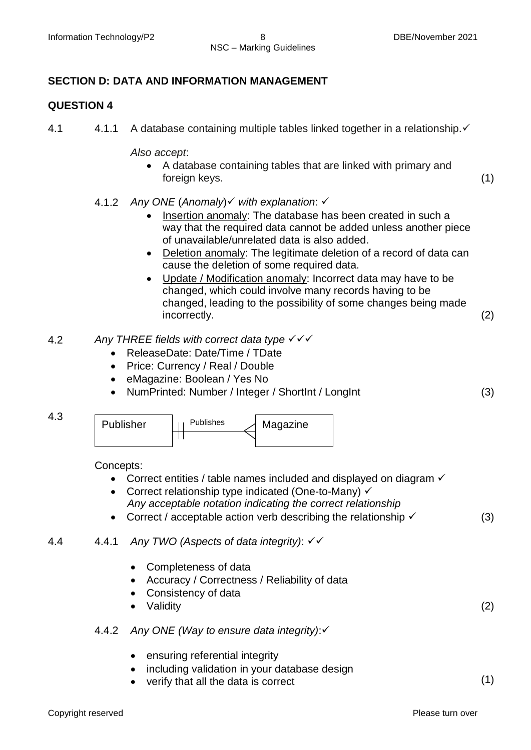#### **SECTION D: DATA AND INFORMATION MANAGEMENT**

#### **QUESTION 4**

4.1 4.1.1 A database containing multiple tables linked together in a relationship. <del>✓</del>

*Also accept*:

- A database containing tables that are linked with primary and foreign keys. (1)
- 4.1.2 *Any ONE* (*Anomaly*) *with explanation*:
	- Insertion anomaly: The database has been created in such a way that the required data cannot be added unless another piece of unavailable/unrelated data is also added.
	- Deletion anomaly: The legitimate deletion of a record of data can cause the deletion of some required data.
	- Update / Modification anomaly: Incorrect data may have to be changed, which could involve many records having to be changed, leading to the possibility of some changes being made incorrectly. (2)
- 4.2 *Any THREE fields with correct data type*
	- ReleaseDate: Date/Time / TDate
	- Price: Currency / Real / Double
	- eMagazine: Boolean / Yes No
	- NumPrinted: Number / Integer / ShortInt / LongInt (3)



| Publisher | <b>Publishes</b> | Magazine |
|-----------|------------------|----------|
|           |                  |          |

Concepts:

- Correct entities / table names included and displayed on diagram  $\checkmark$
- Correct relationship type indicated (One-to-Many)  $\checkmark$ *Any acceptable notation indicating the correct relationship*
- Correct / acceptable action verb describing the relationship  $\checkmark$  (3)
- 4.4 4.4.1 *Any TWO (Aspects of data integrity)*:
	- Completeness of data
	- Accuracy / Correctness / Reliability of data
	- Consistency of data
	- Validity (2)

#### 4.4.2 *Any ONE (Way to ensure data integrity)*:

- ensuring referential integrity
- including validation in your database design
- verify that all the data is correct (1)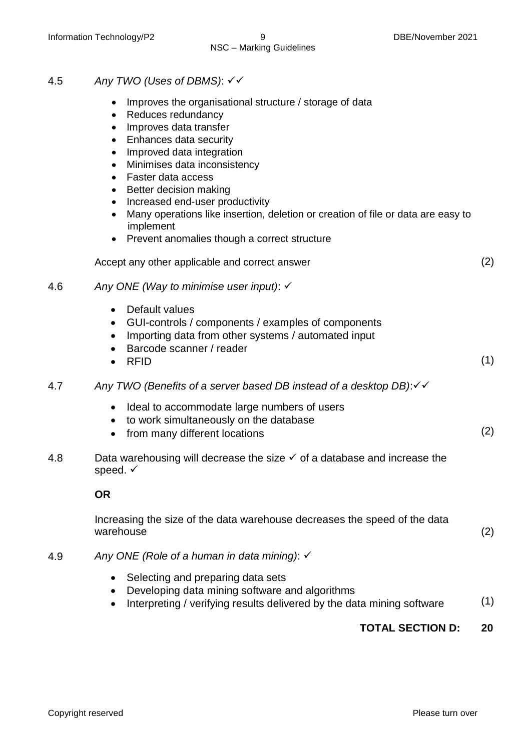- 4.5 *Any TWO (Uses of DBMS)*:
	- Improves the organisational structure / storage of data
	- Reduces redundancy
	- Improves data transfer
	- Enhances data security
	- Improved data integration
	- Minimises data inconsistency
	- Faster data access
	- Better decision making
	- Increased end-user productivity
	- Many operations like insertion, deletion or creation of file or data are easy to implement
	- Prevent anomalies though a correct structure

| Accept any other applicable and correct answer |  |
|------------------------------------------------|--|
|                                                |  |

#### 4.6 *Any ONE (Way to minimise user input)*:

- Default values
- GUI-controls / components / examples of components
- Importing data from other systems / automated input
- Barcode scanner / reader
- RFID  $(1)$
- 4.7 *Any TWO (Benefits of a server based DB instead of a desktop DB)*:
	- Ideal to accommodate large numbers of users
	- to work simultaneously on the database
	- from many different locations (2)
- 4.8 Data warehousing will decrease the size  $\checkmark$  of a database and increase the speed.  $\checkmark$

#### **OR**

Increasing the size of the data warehouse decreases the speed of the data warehouse (2)

- 4.9 *Any ONE (Role of a human in data mining)*:
	- Selecting and preparing data sets
	- Developing data mining software and algorithms
	- Interpreting / verifying results delivered by the data mining software  $(1)$

### **TOTAL SECTION D: 20**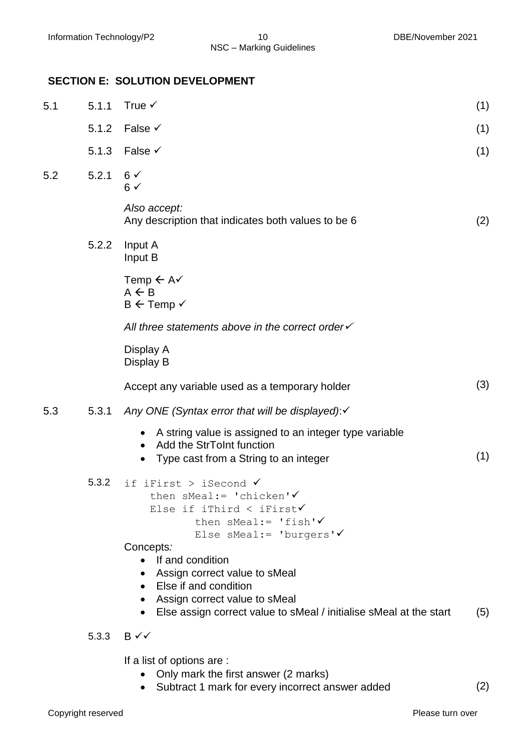#### **SECTION E: SOLUTION DEVELOPMENT**

| 5.1 | 5.1.1 | True $\checkmark$                                                                                                                                                                                           | (1) |
|-----|-------|-------------------------------------------------------------------------------------------------------------------------------------------------------------------------------------------------------------|-----|
|     | 5.1.2 | False $\checkmark$                                                                                                                                                                                          | (1) |
|     | 5.1.3 | False $\checkmark$                                                                                                                                                                                          | (1) |
| 5.2 | 5.2.1 | $6\sqrt{ }$<br>$6 \checkmark$                                                                                                                                                                               |     |
|     |       | Also accept:<br>Any description that indicates both values to be 6                                                                                                                                          | (2) |
|     | 5.2.2 | Input A<br>Input B                                                                                                                                                                                          |     |
|     |       | Temp $\leftarrow$ A $\checkmark$<br>$A \leftarrow B$<br>$B \leftarrow$ Temp $\checkmark$                                                                                                                    |     |
|     |       | All three statements above in the correct order                                                                                                                                                             |     |
|     |       | Display A<br>Display B                                                                                                                                                                                      |     |
|     |       | Accept any variable used as a temporary holder                                                                                                                                                              | (3) |
| 5.3 | 5.3.1 | Any ONE (Syntax error that will be displayed): v                                                                                                                                                            |     |
|     |       | A string value is assigned to an integer type variable<br>Add the StrToInt function<br>Type cast from a String to an integer                                                                                | (1) |
|     | 5.3.2 | if iFirst > iSecond $\checkmark$<br>then sMeal:= 'chicken' $\checkmark$<br>Else if iThird < iFirst $\checkmark$<br>then sMeal:= 'fish' $\checkmark$<br>Else sMeal:= 'burgers' $\checkmark$<br>Concepts:     |     |
|     |       | If and condition<br>Assign correct value to sMeal<br>Else if and condition<br>$\bullet$<br>Assign correct value to sMeal<br>$\bullet$<br>Else assign correct value to sMeal / initialise sMeal at the start | (5) |
|     | 5.3.3 | $B \checkmark$                                                                                                                                                                                              |     |
|     |       | If a list of options are :<br>Only mark the first answer (2 marks)                                                                                                                                          |     |

Subtract 1 mark for every incorrect answer added (2)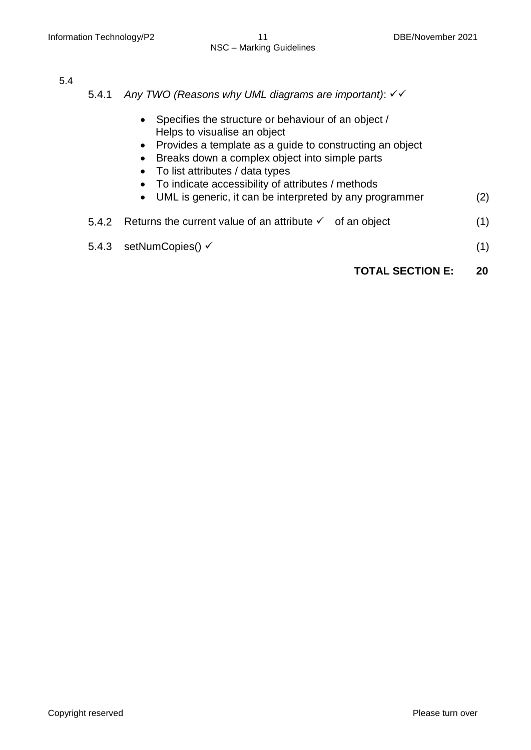5.4

- 5.4.1 *Any TWO (Reasons why UML diagrams are important)*:
	- Specifies the structure or behaviour of an object / Helps to visualise an object
	- Provides a template as a guide to constructing an object
	- Breaks down a complex object into simple parts
	- To list attributes / data types
	- To indicate accessibility of attributes / methods
	- UML is generic, it can be interpreted by any programmer (2)

| 5.4.2 Returns the current value of an attribute $\checkmark$ of an object |  |  |
|---------------------------------------------------------------------------|--|--|
|---------------------------------------------------------------------------|--|--|

5.4.3 setNumCopies()  $\checkmark$  (1)

#### **TOTAL SECTION E: 20**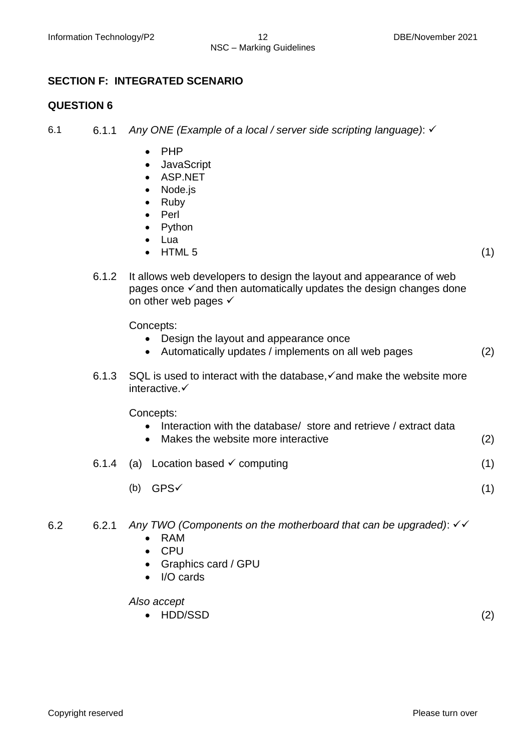#### **SECTION F: INTEGRATED SCENARIO**

#### **QUESTION 6**

6.1 6.1.1 *Any ONE (Example of a local / server side scripting language)*:

- PHP
- **JavaScript**
- ASP.NET
- Node.js
- Ruby
- Perl
- Python
- Lua
- HTML 5  $(1)$ 
	-
- 6.1.2 It allows web developers to design the layout and appearance of web pages once  $\checkmark$  and then automatically updates the design changes done on other web pages  $\checkmark$

Concepts:

- Design the layout and appearance once
- Automatically updates / implements on all web pages (2)
- 6.1.3 SQL is used to interact with the database,  $\checkmark$  and make the website more interactive.

Concepts:

- Interaction with the database/ store and retrieve / extract data
- Makes the website more interactive (2)
- 6.1.4 (a) Location based  $\checkmark$  computing (1)
	- (b)  $GPS \checkmark$  (1)
- 6.2 6.2.1 *Any TWO (Components on the motherboard that can be upgraded)*:
	- RAM
	- CPU
	- Graphics card / GPU
	- I/O cards

*Also accept*

 $\bullet$  HDD/SSD (2)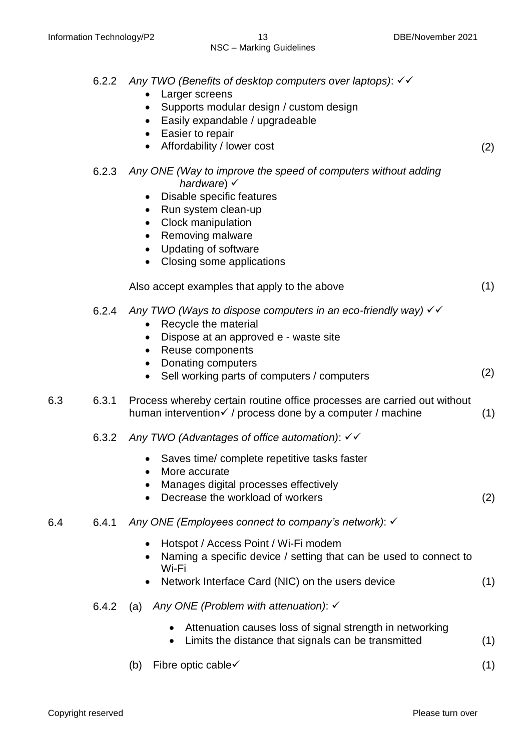|     | 6.2.2 | Any TWO (Benefits of desktop computers over laptops): √√<br>Larger screens<br>Supports modular design / custom design<br>Easily expandable / upgradeable<br>$\bullet$<br>Easier to repair<br>$\bullet$<br>Affordability / lower cost<br>$\bullet$                                                                        | (2) |
|-----|-------|--------------------------------------------------------------------------------------------------------------------------------------------------------------------------------------------------------------------------------------------------------------------------------------------------------------------------|-----|
|     | 6.2.3 | Any ONE (Way to improve the speed of computers without adding<br>hardware) $\checkmark$<br>Disable specific features<br>$\bullet$<br>Run system clean-up<br>$\bullet$<br>Clock manipulation<br>$\bullet$<br>Removing malware<br>$\bullet$<br>Updating of software<br>$\bullet$<br>Closing some applications<br>$\bullet$ |     |
|     |       | Also accept examples that apply to the above                                                                                                                                                                                                                                                                             | (1) |
|     | 6.2.4 | Any TWO (Ways to dispose computers in an eco-friendly way) $\checkmark\checkmark$<br>Recycle the material<br>$\bullet$<br>Dispose at an approved e - waste site<br>Reuse components<br>$\bullet$<br>Donating computers<br>$\bullet$                                                                                      |     |
|     |       | Sell working parts of computers / computers<br>$\bullet$                                                                                                                                                                                                                                                                 | (2) |
| 6.3 | 6.3.1 | Process whereby certain routine office processes are carried out without<br>human intervention√ / process done by a computer / machine                                                                                                                                                                                   | (1) |
|     | 6.3.2 | Any TWO (Advantages of office automation): $\checkmark\checkmark$                                                                                                                                                                                                                                                        |     |
|     |       | Saves time/ complete repetitive tasks faster<br>More accurate<br>Manages digital processes effectively<br>Decrease the workload of workers                                                                                                                                                                               | (2) |
| 6.4 | 6.4.1 | Any ONE (Employees connect to company's network): √                                                                                                                                                                                                                                                                      |     |
|     |       | Hotspot / Access Point / Wi-Fi modem<br>$\bullet$<br>Naming a specific device / setting that can be used to connect to<br>$\bullet$<br>Wi-Fi<br>Network Interface Card (NIC) on the users device<br>$\bullet$                                                                                                            | (1) |
|     | 6.4.2 | Any ONE (Problem with attenuation): $\checkmark$<br>(a)                                                                                                                                                                                                                                                                  |     |
|     |       | Attenuation causes loss of signal strength in networking                                                                                                                                                                                                                                                                 |     |
|     |       | Limits the distance that signals can be transmitted<br>$\bullet$                                                                                                                                                                                                                                                         | (1) |
|     |       | Fibre optic cable√<br>(b)                                                                                                                                                                                                                                                                                                | (1) |

Copyright reserved **Please** turn over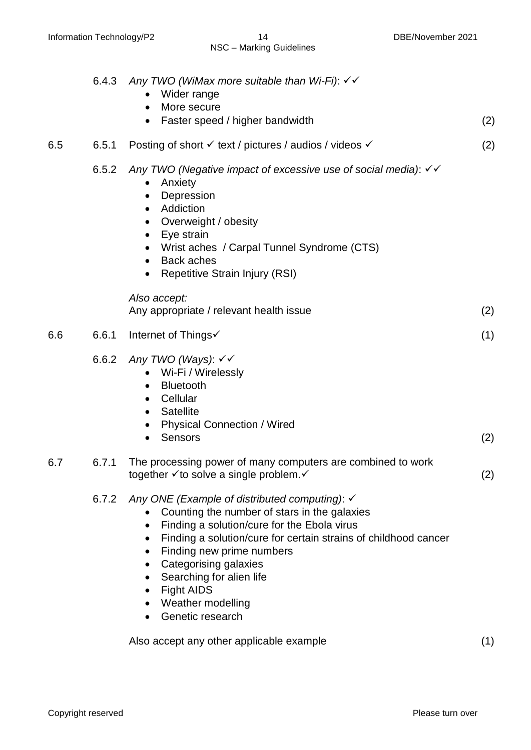|     | 6.4.3 | Any TWO (WiMax more suitable than Wi-Fi): √√<br>Wider range<br>More secure<br>Faster speed / higher bandwidth<br>$\bullet$                                                                                                                                                                                                                                                                           | (2) |
|-----|-------|------------------------------------------------------------------------------------------------------------------------------------------------------------------------------------------------------------------------------------------------------------------------------------------------------------------------------------------------------------------------------------------------------|-----|
| 6.5 | 6.5.1 | Posting of short V text / pictures / audios / videos V                                                                                                                                                                                                                                                                                                                                               | (2) |
|     | 6.5.2 | Any TWO (Negative impact of excessive use of social media): √<br>Anxiety<br>Depression<br>$\bullet$<br>Addiction<br>$\bullet$<br>Overweight / obesity<br>Eye strain<br>$\bullet$<br>Wrist aches / Carpal Tunnel Syndrome (CTS)<br><b>Back aches</b><br>$\bullet$<br>Repetitive Strain Injury (RSI)<br>$\bullet$                                                                                      |     |
|     |       | Also accept:<br>Any appropriate / relevant health issue                                                                                                                                                                                                                                                                                                                                              | (2) |
| 6.6 | 6.6.1 | Internet of Things√                                                                                                                                                                                                                                                                                                                                                                                  | (1) |
|     | 6.6.2 | Any TWO (Ways): √√<br>Wi-Fi / Wirelessly<br><b>Bluetooth</b><br>$\bullet$<br>Cellular<br>$\bullet$<br><b>Satellite</b><br>$\bullet$<br><b>Physical Connection / Wired</b><br>$\bullet$<br>Sensors<br>$\bullet$                                                                                                                                                                                       | (2) |
| 6.7 | 6.7.1 | The processing power of many computers are combined to work<br>together √ to solve a single problem. V                                                                                                                                                                                                                                                                                               | (2) |
|     | 6.7.2 | Any ONE (Example of distributed computing): $\checkmark$<br>Counting the number of stars in the galaxies<br>Finding a solution/cure for the Ebola virus<br>Finding a solution/cure for certain strains of childhood cancer<br>Finding new prime numbers<br>Categorising galaxies<br>$\bullet$<br>Searching for alien life<br><b>Fight AIDS</b><br>$\bullet$<br>Weather modelling<br>Genetic research |     |
|     |       | Also accept any other applicable example                                                                                                                                                                                                                                                                                                                                                             | (1) |